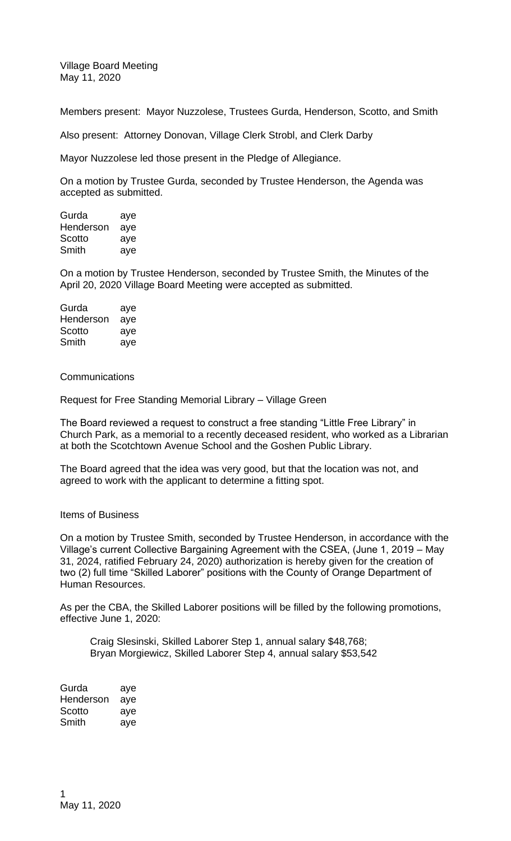Village Board Meeting May 11, 2020

Members present: Mayor Nuzzolese, Trustees Gurda, Henderson, Scotto, and Smith

Also present: Attorney Donovan, Village Clerk Strobl, and Clerk Darby

Mayor Nuzzolese led those present in the Pledge of Allegiance.

On a motion by Trustee Gurda, seconded by Trustee Henderson, the Agenda was accepted as submitted.

Gurda aye Henderson aye Scotto aye Smith aye

On a motion by Trustee Henderson, seconded by Trustee Smith, the Minutes of the April 20, 2020 Village Board Meeting were accepted as submitted.

| Gurda     | aye |
|-----------|-----|
| Henderson | aye |
| Scotto    | aye |
| Smith     | aye |

**Communications** 

Request for Free Standing Memorial Library – Village Green

The Board reviewed a request to construct a free standing "Little Free Library" in Church Park, as a memorial to a recently deceased resident, who worked as a Librarian at both the Scotchtown Avenue School and the Goshen Public Library.

The Board agreed that the idea was very good, but that the location was not, and agreed to work with the applicant to determine a fitting spot.

## Items of Business

On a motion by Trustee Smith, seconded by Trustee Henderson, in accordance with the Village's current Collective Bargaining Agreement with the CSEA, (June 1, 2019 – May 31, 2024, ratified February 24, 2020) authorization is hereby given for the creation of two (2) full time "Skilled Laborer" positions with the County of Orange Department of Human Resources.

As per the CBA, the Skilled Laborer positions will be filled by the following promotions, effective June 1, 2020:

Craig Slesinski, Skilled Laborer Step 1, annual salary \$48,768; Bryan Morgiewicz, Skilled Laborer Step 4, annual salary \$53,542

| Gurda     | aye |
|-----------|-----|
| Henderson | aye |
| Scotto    | aye |
| Smith     | aye |